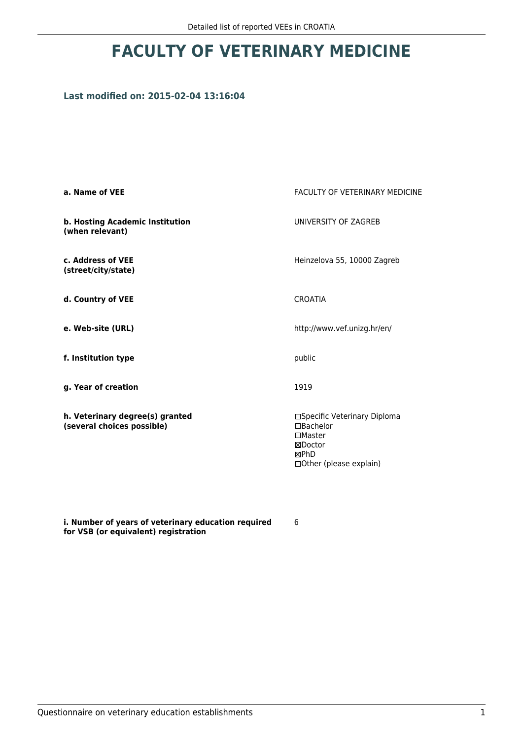# **FACULTY OF VETERINARY MEDICINE**

## **Last modified on: 2015-02-04 13:16:04**

| a. Name of VEE                                                | <b>FACULTY OF VETERINARY MEDICINE</b>                                                                     |
|---------------------------------------------------------------|-----------------------------------------------------------------------------------------------------------|
| b. Hosting Academic Institution<br>(when relevant)            | UNIVERSITY OF ZAGREB                                                                                      |
| c. Address of VEE<br>(street/city/state)                      | Heinzelova 55, 10000 Zagreb                                                                               |
| d. Country of VEE                                             | <b>CROATIA</b>                                                                                            |
| e. Web-site (URL)                                             | http://www.vef.unizg.hr/en/                                                                               |
| f. Institution type                                           | public                                                                                                    |
| g. Year of creation                                           | 1919                                                                                                      |
| h. Veterinary degree(s) granted<br>(several choices possible) | □Specific Veterinary Diploma<br>□Bachelor<br>$\Box$ Master<br>⊠Doctor<br>⊠PhD<br>□ Other (please explain) |

**i. Number of years of veterinary education required for VSB (or equivalent) registration**

6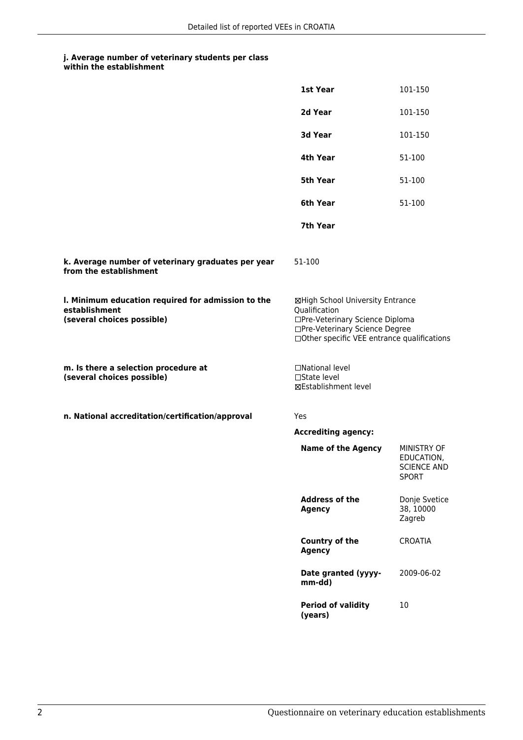#### **j. Average number of veterinary students per class within the establishment**

|                                                                                                   | 1st Year                                                                                                                                                              | 101-150                                                         |
|---------------------------------------------------------------------------------------------------|-----------------------------------------------------------------------------------------------------------------------------------------------------------------------|-----------------------------------------------------------------|
|                                                                                                   | 2d Year                                                                                                                                                               | 101-150                                                         |
|                                                                                                   | 3d Year                                                                                                                                                               | 101-150                                                         |
|                                                                                                   | 4th Year                                                                                                                                                              | 51-100                                                          |
|                                                                                                   | 5th Year                                                                                                                                                              | 51-100                                                          |
|                                                                                                   | 6th Year                                                                                                                                                              | 51-100                                                          |
|                                                                                                   | 7th Year                                                                                                                                                              |                                                                 |
| k. Average number of veterinary graduates per year<br>from the establishment                      | 51-100                                                                                                                                                                |                                                                 |
| I. Minimum education required for admission to the<br>establishment<br>(several choices possible) | ⊠High School University Entrance<br>Qualification<br>□Pre-Veterinary Science Diploma<br>□Pre-Veterinary Science Degree<br>□Other specific VEE entrance qualifications |                                                                 |
| m. Is there a selection procedure at<br>(several choices possible)                                | □National level<br>$\square$ State level<br>⊠Establishment level                                                                                                      |                                                                 |
| n. National accreditation/certification/approval                                                  | Yes                                                                                                                                                                   |                                                                 |
|                                                                                                   | <b>Accrediting agency:</b>                                                                                                                                            |                                                                 |
|                                                                                                   | <b>Name of the Agency</b>                                                                                                                                             | MINISTRY OF<br>EDUCATION,<br><b>SCIENCE AND</b><br><b>SPORT</b> |
|                                                                                                   | <b>Address of the</b><br><b>Agency</b>                                                                                                                                | Donje Svetice<br>38, 10000<br>Zagreb                            |
|                                                                                                   | <b>Country of the</b><br><b>Agency</b>                                                                                                                                | <b>CROATIA</b>                                                  |
|                                                                                                   | Date granted (yyyy-<br>mm-dd)                                                                                                                                         | 2009-06-02                                                      |
|                                                                                                   | <b>Period of validity</b><br>(years)                                                                                                                                  | 10                                                              |